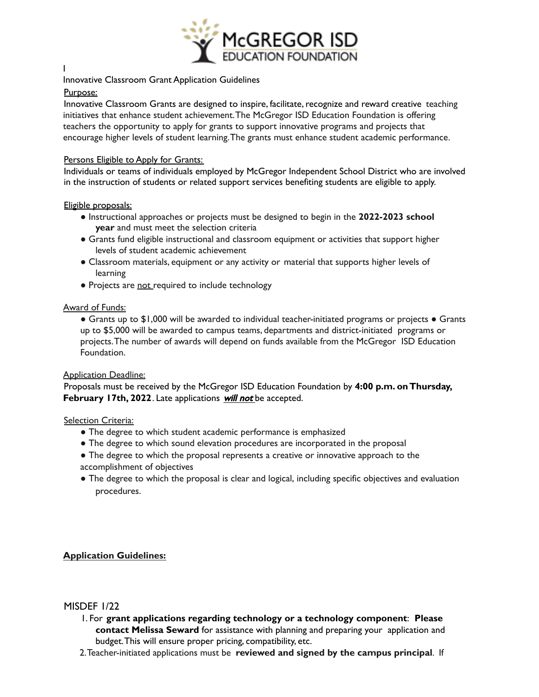

## Innovative Classroom Grant Application Guidelines

### Purpose:

Innovative Classroom Grants are designed to inspire, facilitate, recognize and reward creative teaching initiatives that enhance student achievement.The McGregor ISD Education Foundation is offering teachers the opportunity to apply for grants to support innovative programs and projects that encourage higher levels of student learning.The grants must enhance student academic performance.

### Persons Eligible to Apply for Grants:

Individuals or teams of individuals employed by McGregor Independent School District who are involved in the instruction of students or related support services benefiting students are eligible to apply.

#### Eligible proposals:

- Instructional approaches or projects must be designed to begin in the **2022-2023 school year** and must meet the selection criteria
- Grants fund eligible instructional and classroom equipment or activities that support higher levels of student academic achievement
- Classroom materials, equipment or any activity or material that supports higher levels of learning
- Projects are not required to include technology

## Award of Funds:

● Grants up to \$1,000 will be awarded to individual teacher-initiated programs or projects ● Grants up to \$5,000 will be awarded to campus teams, departments and district-initiated programs or projects.The number of awards will depend on funds available from the McGregor ISD Education Foundation.

#### Application Deadline:

Proposals must be received by the McGregor ISD Education Foundation by **4:00 p.m. onThursday, February 17th, 2022**. Late applications will not be accepted.

#### Selection Criteria:

- The degree to which student academic performance is emphasized
- The degree to which sound elevation procedures are incorporated in the proposal
- The degree to which the proposal represents a creative or innovative approach to the accomplishment of objectives
- The degree to which the proposal is clear and logical, including specific objectives and evaluation procedures.

# **Application Guidelines:**

# MISDEF 1/22

- 1. For **grant applications regarding technology or a technology component**: **Please contact Melissa Seward** for assistance with planning and preparing your application and budget.This will ensure proper pricing, compatibility, etc.
- 2.Teacher-initiated applications must be **reviewed and signed by the campus principal**. If

I